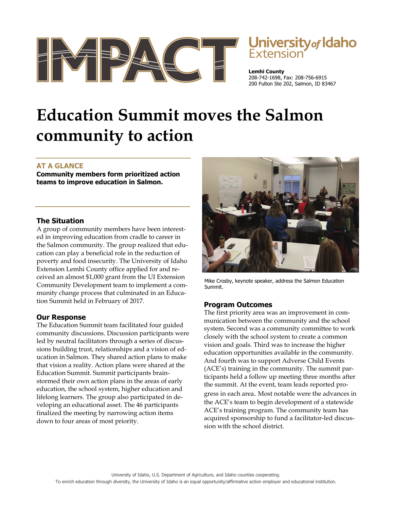

# **University of Idaho**<br>Extension

**Lemhi County**  208-742-1698, Fax: 208-756-6915 200 Fulton Ste 202, Salmon, ID 83467

## **Education Summit moves the Salmon community to action**

### **AT A GLANCE**

**Community members form prioritized action teams to improve education in Salmon.** 

#### **The Situation**

A group of community members have been interested in improving education from cradle to career in the Salmon community. The group realized that education can play a beneficial role in the reduction of poverty and food insecurity. The University of Idaho Extension Lemhi County office applied for and received an almost \$1,000 grant from the UI Extension Community Development team to implement a community change process that culminated in an Education Summit held in February of 2017.

#### **Our Response**

The Education Summit team facilitated four guided community discussions. Discussion participants were led by neutral facilitators through a series of discussions building trust, relationships and a vision of education in Salmon. They shared action plans to make that vision a reality. Action plans were shared at the Education Summit. Summit participants brainstormed their own action plans in the areas of early education, the school system, higher education and lifelong learners. The group also participated in developing an educational asset. The 46 participants finalized the meeting by narrowing action items down to four areas of most priority.



Mike Crosby, keynote speaker, address the Salmon Education Summit.

#### **Program Outcomes**

The first priority area was an improvement in communication between the community and the school system. Second was a community committee to work closely with the school system to create a common vision and goals. Third was to increase the higher education opportunities available in the community. And fourth was to support Adverse Child Events (ACE's) training in the community. The summit participants held a follow up meeting three months after the summit. At the event, team leads reported progress in each area. Most notable were the advances in the ACE's team to begin development of a statewide

ACE's training program. The community team has acquired sponsorship to fund a facilitator-led discussion with the school district.